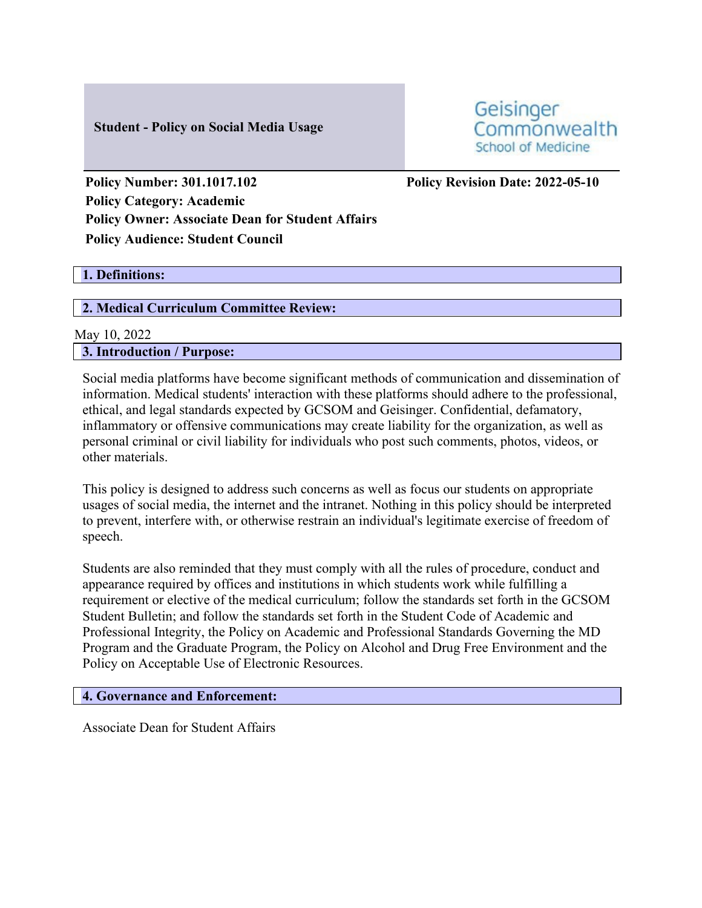## **Student - Policy on Social Media Usage**

Geisinger Commonwealth School of Medicine

**Policy Number: 301.1017.102 Policy Revision Date: 2022-05-10 Policy Category: Academic Policy Owner: Associate Dean for Student Affairs Policy Audience: Student Council**

## **1. Definitions:**

## **2. Medical Curriculum Committee Review:**

# May 10, 2022 **3. Introduction / Purpose:**

Social media platforms have become significant methods of communication and dissemination of information. Medical students' interaction with these platforms should adhere to the professional, ethical, and legal standards expected by GCSOM and Geisinger. Confidential, defamatory, inflammatory or offensive communications may create liability for the organization, as well as personal criminal or civil liability for individuals who post such comments, photos, videos, or other materials.

This policy is designed to address such concerns as well as focus our students on appropriate usages of social media, the internet and the intranet. Nothing in this policy should be interpreted to prevent, interfere with, or otherwise restrain an individual's legitimate exercise of freedom of speech.

Students are also reminded that they must comply with all the rules of procedure, conduct and appearance required by offices and institutions in which students work while fulfilling a requirement or elective of the medical curriculum; follow the standards set forth in the GCSOM Student Bulletin; and follow the standards set forth in the Student Code of Academic and Professional Integrity, the Policy on Academic and Professional Standards Governing the MD Program and the Graduate Program, the Policy on Alcohol and Drug Free Environment and the Policy on Acceptable Use of Electronic Resources.

#### **4. Governance and Enforcement:**

Associate Dean for Student Affairs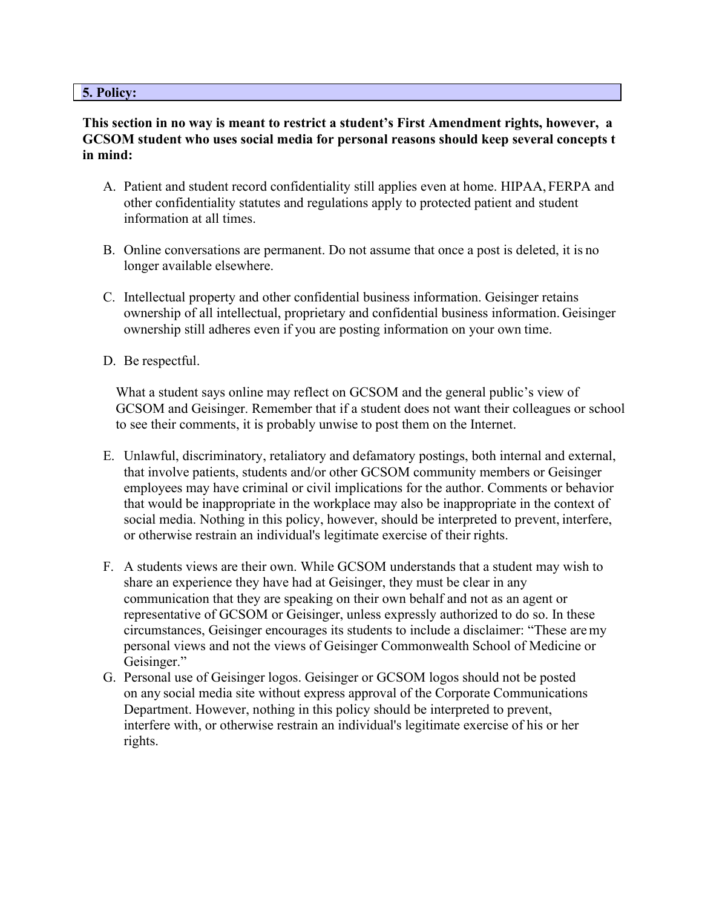#### **5. Policy:**

## **This section in no way is meant to restrict a student's First Amendment rights, however, a GCSOM student who uses social media for personal reasons should keep several concepts t in mind:**

- A. Patient and student record confidentiality still applies even at home. HIPAA, FERPA and other confidentiality statutes and regulations apply to protected patient and student information at all times.
- B. Online conversations are permanent. Do not assume that once a post is deleted, it is no longer available elsewhere.
- C. Intellectual property and other confidential business information. Geisinger retains ownership of all intellectual, proprietary and confidential business information. Geisinger ownership still adheres even if you are posting information on your own time.
- D. Be respectful.

What a student says online may reflect on GCSOM and the general public's view of GCSOM and Geisinger. Remember that if a student does not want their colleagues or school to see their comments, it is probably unwise to post them on the Internet.

- E. Unlawful, discriminatory, retaliatory and defamatory postings, both internal and external, that involve patients, students and/or other GCSOM community members or Geisinger employees may have criminal or civil implications for the author. Comments or behavior that would be inappropriate in the workplace may also be inappropriate in the context of social media. Nothing in this policy, however, should be interpreted to prevent, interfere, or otherwise restrain an individual's legitimate exercise of their rights.
- F. A students views are their own. While GCSOM understands that a student may wish to share an experience they have had at Geisinger, they must be clear in any communication that they are speaking on their own behalf and not as an agent or representative of GCSOM or Geisinger, unless expressly authorized to do so. In these circumstances, Geisinger encourages its students to include a disclaimer: "These are my personal views and not the views of Geisinger Commonwealth School of Medicine or Geisinger."
- G. Personal use of Geisinger logos. Geisinger or GCSOM logos should not be posted on any social media site without express approval of the Corporate Communications Department. However, nothing in this policy should be interpreted to prevent, interfere with, or otherwise restrain an individual's legitimate exercise of his or her rights.